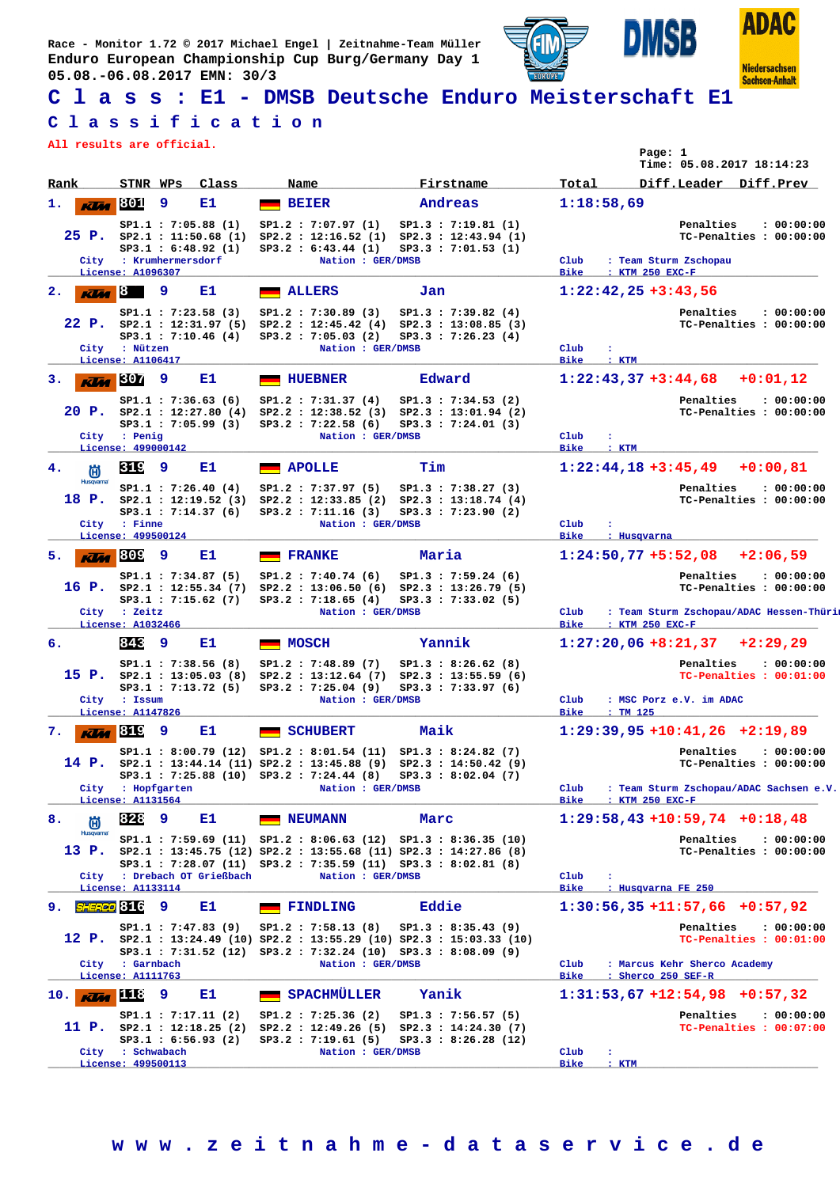**Race - Monitor 1.72 © 2017 Michael Engel | Zeitnahme-Team Müller Enduro European Championship Cup Burg/Germany Day 1 05.08.-06.08.2017 EMN: 30/3**





**Sachsen-Anhalt** 

**ISB** 

D

## **C l a s s : E1 - DMSB Deutsche Enduro Meisterschaft E1**

## **C l a s s i f i c a t i o n**

**All results are official.**

|                          |                                                                                                                                                                                                                                                                                                                                                                                                                                         |       |                                                                                                                                                                                                                          |                                                                                               | Page: 1<br>Time: 05.08.2017 18:14:23                                                                                                        |
|--------------------------|-----------------------------------------------------------------------------------------------------------------------------------------------------------------------------------------------------------------------------------------------------------------------------------------------------------------------------------------------------------------------------------------------------------------------------------------|-------|--------------------------------------------------------------------------------------------------------------------------------------------------------------------------------------------------------------------------|-----------------------------------------------------------------------------------------------|---------------------------------------------------------------------------------------------------------------------------------------------|
| Rank                     | STNR WPs                                                                                                                                                                                                                                                                                                                                                                                                                                | Class | Name                                                                                                                                                                                                                     | Firstname                                                                                     | Total<br>Diff.Leader Diff.Prev                                                                                                              |
| 1.<br><b>KLM</b>         | 801<br>-9                                                                                                                                                                                                                                                                                                                                                                                                                               | Е1    | <b>BEIER</b>                                                                                                                                                                                                             | Andreas                                                                                       | 1:18:58,69                                                                                                                                  |
|                          | SP1.1: 7:05.88 (1)<br>25 P. $SP2.1 : 11:50.68 (1)$<br>SP3.1 : 6:48.92 (1)<br>City : Krumhermersdorf<br>License: A1096307                                                                                                                                                                                                                                                                                                                |       | SP1.2 : 7:07.97(1)<br>SP2.2 : 12:16.52(1)<br>SP3.2 : 6:43.44 (1)<br>Nation : GER/DMSB                                                                                                                                    | SP1.3 : 7:19.81 (1)<br>$SP2.3$ : 12:43.94 (1)<br>SP3.3 : 7:01.53(1)                           | Penalties<br>: 00:00:00<br>TC-Penalties : 00:00:00<br>Club<br>: Team Sturm Zschopau<br><b>Bike</b>                                          |
| $\mathbf{2}$ .           | $\overline{K}$ <i><b>Example 18</b></i><br>-9                                                                                                                                                                                                                                                                                                                                                                                           | Е1    | <b>ALLERS</b>                                                                                                                                                                                                            | Jan                                                                                           | : KTM 250 EXC-F<br>$1:22:42,25+3:43,56$                                                                                                     |
|                          | SP1.1 : 7:23.58(3)<br>SP3.1 : 7:10.46(4)<br>City : Nützen<br>License: A1106417                                                                                                                                                                                                                                                                                                                                                          |       | SP1.2 : 7:30.89(3)<br>22 P. SP2.1 : 12:31.97 (5) SP2.2 : 12:45.42 (4) SP2.3 : 13:08.85 (3)<br>SP3.2 : 7:05.03(2)<br>Nation : GER/DMSB                                                                                    | SP1.3 : 7:39.82(4)<br>SP3.3 : 7:26.23(4)                                                      | Penalties<br>: 00:00:00<br>TC-Penalties : 00:00:00<br>Club<br>÷<br><b>Bike</b><br>: KTM                                                     |
| з.                       | $K$ $M$ 307<br>9                                                                                                                                                                                                                                                                                                                                                                                                                        | Е1    | <b>HUEBNER</b>                                                                                                                                                                                                           | Edward                                                                                        | $1:22:43,37+3:44,68$<br>$+0:01,12$                                                                                                          |
|                          | SP1.1 : 7:36.63(6)<br>$20$ P. $SP2.1 : 12:27.80$ (4)<br>SP3.1 : 7:05.99 (3)<br>City : Penig<br>License: 499000142                                                                                                                                                                                                                                                                                                                       |       | SP1.2 : 7:31.37(4)<br>SP3.2 : 7:22.58 (6)<br>Nation : GER/DMSB                                                                                                                                                           | SP1.3 : 7:34.53 (2)<br>$SP2.2 : 12:38.52 (3) SP2.3 : 13:01.94 (2)$<br>SP3.3 : 7:24.01(3)      | Penalties<br>: 00:00:00<br>TC-Penalties : 00:00:00<br>Club<br><b>Bike</b><br>: KTM                                                          |
| 4.<br>尚                  | 319<br>- 9                                                                                                                                                                                                                                                                                                                                                                                                                              | Е1    | <b>APOLLE</b>                                                                                                                                                                                                            | Tim                                                                                           | $1:22:44,18+3:45,49$<br>$+0:00.81$                                                                                                          |
| <b>Husqvarna</b>         | SP1.1 : 7:26.40(4)<br>18 P. $SP2.1 : 12:19.52(3)$<br>SP3.1 : 7:14.37(6)<br>City : Finne<br>License: 499500124                                                                                                                                                                                                                                                                                                                           |       | SP1.2 : 7:37.97(5)<br>SP2.2 : 12:33.85 (2)<br>SP3.2 : 7:11.16(3)<br>Nation : GER/DMSB                                                                                                                                    | SP1.3 : 7:38.27(3)<br>SP2.3 : 13:18.74(4)<br>SP3.3 : 7:23.90(2)                               | Penalties<br>: 00:00:00<br>TC-Penalties : 00:00:00<br>Club<br>÷<br><b>Bike</b><br>: Husqvarna                                               |
| 5.<br><b>KUM</b>         | 809<br>9                                                                                                                                                                                                                                                                                                                                                                                                                                | E1    | <b>FRANKE</b>                                                                                                                                                                                                            | Maria                                                                                         | $1:24:50,77 + 5:52,08 + 2:06,59$                                                                                                            |
|                          | SP1.1 : 7:34.87 (5)<br>16 P. $SP2.1 : 12:55.34 (7)$<br>$SP3.1$ : 7:15.62 (7)<br>City : Zeitz<br>License: A1032466                                                                                                                                                                                                                                                                                                                       |       | SP1.2 : 7:40.74(6)<br>SP2.2 : 13:06.50(6)<br>SP3.2 : 7:18.65(4)<br>Nation : GER/DMSB                                                                                                                                     | SP1.3 : 7:59.24(6)<br>SP2.3 : 13:26.79(5)<br>SP3.3 : 7:33.02(5)                               | Penalties<br>: 00:00:00<br>TC-Penalties : 00:00:00<br>Club<br>: Team Sturm Zschopau/ADAC Hessen-Thüri<br>: KTM 250 EXC-F<br><b>Bike</b>     |
| б.                       | 843<br>-9                                                                                                                                                                                                                                                                                                                                                                                                                               | Е1.   | <b>MOSCH</b>                                                                                                                                                                                                             | Yannik                                                                                        | $1:27:20,06$ +8:21,37<br>$+2:29,29$                                                                                                         |
|                          | SP1.1 : 7:38.56(8)<br>$15$ P. $SP2.1$ : 13:05.03 (8)<br>SP3.1 : 7:13.72(5)<br>City : Issum<br>License: A1147826                                                                                                                                                                                                                                                                                                                         |       | SP1.2: 7:48.89 (7)<br>SP3.2 : 7:25.04 (9)<br>Nation : GER/DMSB                                                                                                                                                           | SP1.3 : 8:26.62(8)<br>SP2.2: 13:12.64 (7) SP2.3: 13:55.59 (6)<br>SP3.3 : 7:33.97(6)           | Penalties<br>: 00:00:00<br>TC-Penalties : 00:01:00<br>Club<br>: MSC Porz e.V. im ADAC<br><b>Bike</b><br>$:$ TM 125                          |
| 7.                       | $\overline{K}$ $\overline{K}$ $\overline{G}$ $\overline{G}$ $\overline{G}$ $\overline{G}$ $\overline{G}$ $\overline{G}$ $\overline{G}$ $\overline{G}$ $\overline{G}$ $\overline{G}$ $\overline{G}$ $\overline{G}$ $\overline{G}$ $\overline{G}$ $\overline{G}$ $\overline{G}$ $\overline{G}$ $\overline{G}$ $\overline{G}$ $\overline{G}$ $\overline{G}$ $\overline{G}$ $\overline{G}$ $\overline{G}$ $\overline{G}$ $\overline{$<br>و. | Е1.   | <b>SCHUBERT</b>                                                                                                                                                                                                          | Maik                                                                                          | $1:29:39,95 +10:41,26 +2:19,89$                                                                                                             |
|                          | City : Hopfgarten<br>License: A1131564                                                                                                                                                                                                                                                                                                                                                                                                  |       | SP1.1: 8:00.79 (12) SP1.2: 8:01.54 (11)<br>14 P. sp2.1 : 13:44.14 (11) Sp2.2 : 13:45.88 (9) Sp2.3 : 14:50.42 (9)<br>SP3.1: 7:25.88 (10) SP3.2: 7:24.44 (8)<br>Nation : GER/DMSB                                          | SP1.3 : 8:24.82 (7)<br>SP3.3 : 8:02.04 (7)                                                    | Penalties<br>: 00:00:00<br>TC-Penalties : 00:00:00<br>Club<br>: Team Sturm Zschopau/ADAC Sachsen e.V.<br><b>Bike</b><br>: KTM 250 EXC-F     |
| 8.<br>尚                  | 828<br>9                                                                                                                                                                                                                                                                                                                                                                                                                                | E1    | <b>NEUMANN</b>                                                                                                                                                                                                           | Marc                                                                                          | $1:29:58,43$ +10:59,74 +0:18,48                                                                                                             |
| Husqvarna                | City : Drebach OT Grießbach<br>License: A1133114                                                                                                                                                                                                                                                                                                                                                                                        |       | SP1.1: 7:59.69 (11) SP1.2: 8:06.63 (12) SP1.3: 8:36.35 (10)<br>13 P. SP2.1 : 13:45.75 (12) SP2.2 : 13:55.68 (11) SP2.3 : 14:27.86 (8)<br>SP3.1: 7:28.07 (11) SP3.2: 7:35.59 (11) SP3.3: 8:02.81 (8)<br>Nation : GER/DMSB |                                                                                               | Penalties<br>: 00:00:00<br>TC-Penalties : 00:00:00<br>Club<br>: Husqvarna FE 250<br>Bike                                                    |
| 9. SHERCO 816            | 9                                                                                                                                                                                                                                                                                                                                                                                                                                       | Е1    | <b>FINDLING</b>                                                                                                                                                                                                          | Eddie                                                                                         | $1:30:56,35+11:57,66$ +0:57,92                                                                                                              |
|                          | SP1.1 : 7:47.83(9)<br>City : Garnbach<br>License: A1111763                                                                                                                                                                                                                                                                                                                                                                              |       | SP1.2 : 7:58.13 (8)<br>SP3.1: 7:31.52 (12) SP3.2: 7:32.24 (10) SP3.3: 8:08.09 (9)<br>Nation : GER/DMSB                                                                                                                   | SP1.3 : 8:35.43(9)<br>12 P. sp2.1 : 13:24.49 (10) Sp2.2 : 13:55.29 (10) Sp2.3 : 15:03.33 (10) | Penalties<br>: 00:00:00<br>TC-Penalties : 00:01:00<br>$_{\text{Club}}$<br>: Marcus Kehr Sherco Academy<br><b>Bike</b><br>: Sherco 250 SEF-R |
| $10.$ $\overline{K}$ 118 | 9                                                                                                                                                                                                                                                                                                                                                                                                                                       | E1    | SPACHMÜLLER                                                                                                                                                                                                              | Yanik                                                                                         | $1:31:53,67$ +12:54,98 +0:57,32                                                                                                             |
|                          | SP1.1 : 7:17.11 (2)<br>SP3.1 : 6:56.93 (2)<br>City : Schwabach<br>License: 499500113                                                                                                                                                                                                                                                                                                                                                    |       | SP1.2 : 7:25.36 (2)<br>11 P. $SP2.1$ : 12:18.25 (2) $SP2.2$ : 12:49.26 (5) $SP2.3$ : 14:24.30 (7)<br>SP3.2 : 7:19.61(5)<br>Nation : GER/DMSB                                                                             | SP1.3 : 7:56.57(5)<br>SP3.3 : 8:26.28 (12)                                                    | Penalties<br>: 00:00:00<br>TC-Penalties : 00:07:00<br>Club<br>÷<br><b>Bike</b><br>: KTM                                                     |